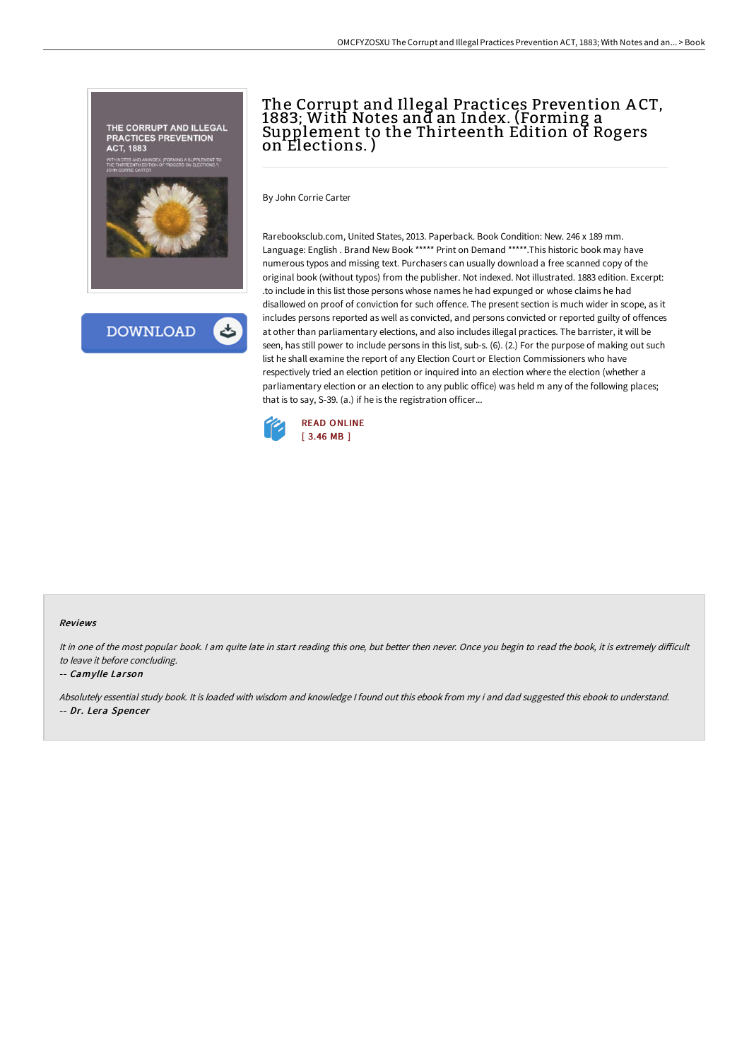



## The Corrupt and Illegal Practices Prevention A CT, 1883; With Notes and an Index. (Forming a Supplement to the Thirteenth Edition of Rogers on Elections. )

By John Corrie Carter

Rarebooksclub.com, United States, 2013. Paperback. Book Condition: New. 246 x 189 mm. Language: English . Brand New Book \*\*\*\*\* Print on Demand \*\*\*\*\*.This historic book may have numerous typos and missing text. Purchasers can usually download a free scanned copy of the original book (without typos) from the publisher. Not indexed. Not illustrated. 1883 edition. Excerpt: .to include in this list those persons whose names he had expunged or whose claims he had disallowed on proof of conviction for such offence. The present section is much wider in scope, as it includes persons reported as well as convicted, and persons convicted or reported guilty of offences at other than parliamentary elections, and also includes illegal practices. The barrister, it will be seen, has still power to include persons in this list, sub-s. (6). (2.) For the purpose of making out such list he shall examine the report of any Election Court or Election Commissioners who have respectively tried an election petition or inquired into an election where the election (whether a parliamentary election or an election to any public office) was held m any of the following places; that is to say, S-39. (a.) if he is the registration officer...



## Reviews

It in one of the most popular book. I am quite late in start reading this one, but better then never. Once you begin to read the book, it is extremely difficult to leave it before concluding.

## -- Camylle Larson

Absolutely essential study book. It is loaded with wisdom and knowledge <sup>I</sup> found out this ebook from my i and dad suggested this ebook to understand. -- Dr. Lera Spencer